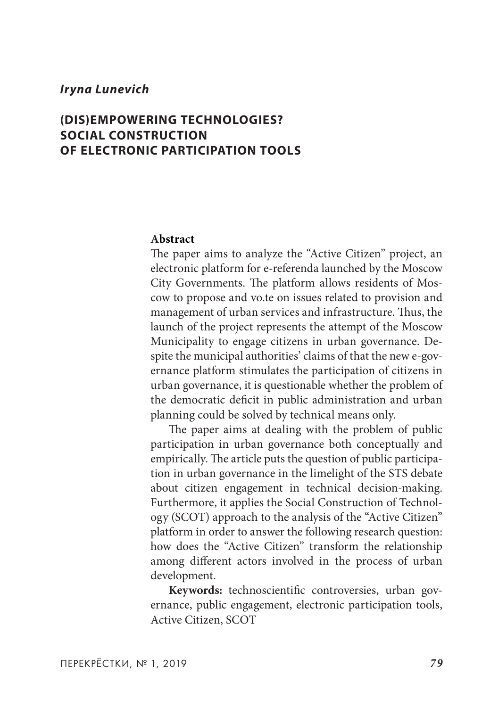# **(DIS)EMPOWERING TECHNOLOGIES? SOCIAL CONSTRUCTION OF ELECTRONIC PARTICIPATION TOOLS**

#### **Abstract**

The paper aims to analyze the "Active Citizen" project, an electronic platform for e-referenda launched by the Moscow City Governments. The platform allows residents of Moscow to propose and vo.te on issues related to provision and management of urban services and infrastructure. Thus, the launch of the project represents the attempt of the Moscow Municipality to engage citizens in urban governance. Despite the municipal authorities' claims of that the new e-governance platform stimulates the participation of citizens in urban governance, it is questionable whether the problem of the democratic deficit in public administration and urban planning could be solved by technical means only.

The paper aims at dealing with the problem of public participation in urban governance both conceptually and empirically. The article puts the question of public participation in urban governance in the limelight of the STS debate about citizen engagement in technical decision-making. Furthermore, it applies the Social Construction of Technology (SCOT) approach to the analysis of the "Active Citizen" platform in order to answer the following research question: how does the "Active Citizen" transform the relationship among different actors involved in the process of urban development.

**Keywords:** technoscientific controversies, urban governance, public engagement, electronic participation tools, Active Citizen, SCOT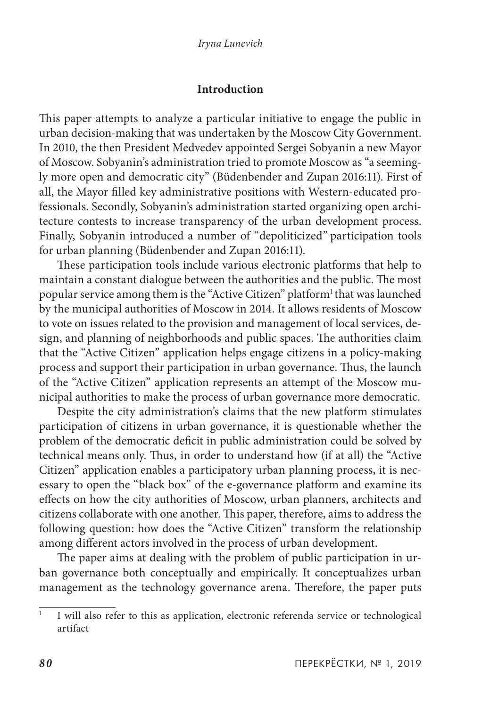### **Introduction**

This paper attempts to analyze a particular initiative to engage the public in urban decision-making that was undertaken by the Moscow City Government. In 2010, the then President Medvedev appointed Sergei Sobyanin a new Mayor of Moscow. Sobyanin's administration tried to promote Moscow as "a seemingly more open and democratic city" (Büdenbender and Zupan 2016:11). First of all, the Mayor filled key administrative positions with Western-educated professionals. Secondly, Sobyanin's administration started organizing open architecture contests to increase transparency of the urban development process. Finally, Sobyanin introduced a number of "depoliticized" participation tools for urban planning (Büdenbender and Zupan 2016:11).

These participation tools include various electronic platforms that help to maintain a constant dialogue between the authorities and the public. The most popular service among them is the "Active Citizen" platform<sup>1</sup> that was launched by the municipal authorities of Moscow in 2014. It allows residents of Moscow to vote on issues related to the provision and management of local services, design, and planning of neighborhoods and public spaces. The authorities claim that the "Active Citizen" application helps engage citizens in a policy-making process and support their participation in urban governance. Thus, the launch of the "Active Citizen" application represents an attempt of the Moscow municipal authorities to make the process of urban governance more democratic.

Despite the city administration's claims that the new platform stimulates participation of citizens in urban governance, it is questionable whether the problem of the democratic deficit in public administration could be solved by technical means only. Thus, in order to understand how (if at all) the "Active Citizen" application enables a participatory urban planning process, it is necessary to open the "black box" of the e-governance platform and examine its effects on how the city authorities of Moscow, urban planners, architects and citizens collaborate with one another. This paper, therefore, aims to address the following question: how does the "Active Citizen" transform the relationship among different actors involved in the process of urban development.

The paper aims at dealing with the problem of public participation in urban governance both conceptually and empirically. It conceptualizes urban management as the technology governance arena. Therefore, the paper puts

<sup>&</sup>lt;sup>1</sup> I will also refer to this as application, electronic referenda service or technological artifact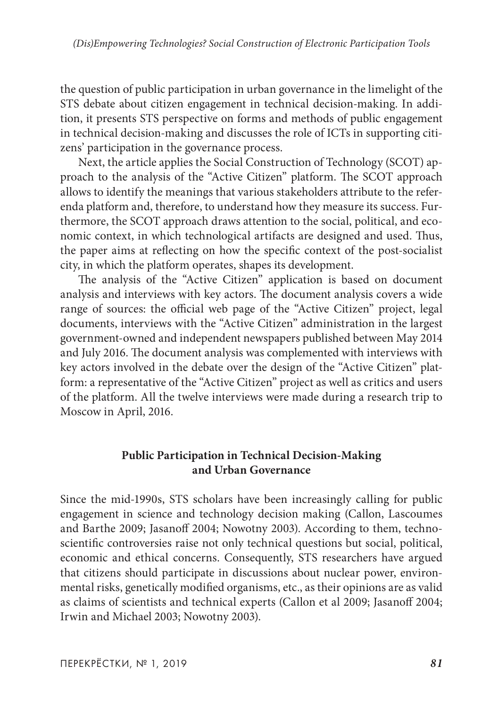the question of public participation in urban governance in the limelight of the STS debate about citizen engagement in technical decision-making. In addition, it presents STS perspective on forms and methods of public engagement in technical decision-making and discusses the role of ICTs in supporting citizens' participation in the governance process.

Next, the article applies the Social Construction of Technology (SCOT) approach to the analysis of the "Active Citizen" platform. The SCOT approach allows to identify the meanings that various stakeholders attribute to the referenda platform and, therefore, to understand how they measure its success. Furthermore, the SCOT approach draws attention to the social, political, and economic context, in which technological artifacts are designed and used. Thus, the paper aims at reflecting on how the specific context of the post-socialist city, in which the platform operates, shapes its development.

The analysis of the "Active Citizen" application is based on document analysis and interviews with key actors. The document analysis covers a wide range of sources: the official web page of the "Active Citizen" project, legal documents, interviews with the "Active Citizen" administration in the largest government-owned and independent newspapers published between May 2014 and July 2016. The document analysis was complemented with interviews with key actors involved in the debate over the design of the "Active Citizen" platform: a representative of the "Active Citizen" project as well as critics and users of the platform. All the twelve interviews were made during a research trip to Moscow in April, 2016.

# **Public Participation in Technical Decision-Making and Urban Governance**

Since the mid-1990s, STS scholars have been increasingly calling for public engagement in science and technology decision making (Callon, Lascoumes and Barthe 2009; Jasanoff 2004; Nowotny 2003). According to them, technoscientific controversies raise not only technical questions but social, political, economic and ethical concerns. Consequently, STS researchers have argued that citizens should participate in discussions about nuclear power, environmental risks, genetically modified organisms, etc., as their opinions are as valid as claims of scientists and technical experts (Callon et al 2009; Jasanoff 2004; Irwin and Michael 2003; Nowotny 2003).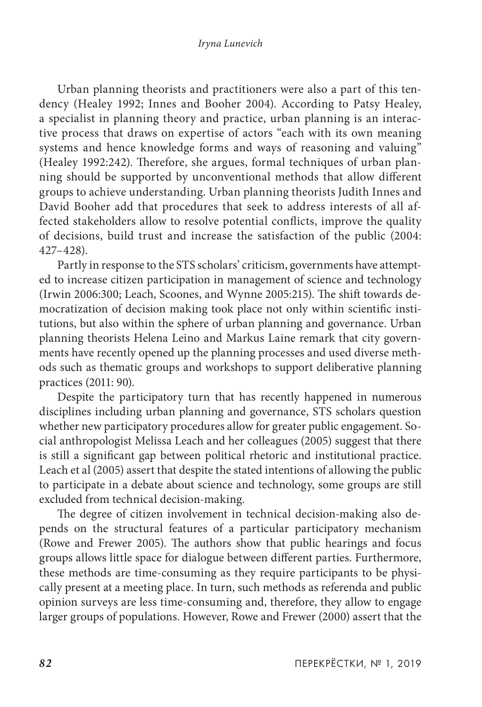Urban planning theorists and practitioners were also a part of this tendency (Healey 1992; Innes and Booher 2004). According to Patsy Healey, a specialist in planning theory and practice, urban planning is an interactive process that draws on expertise of actors "each with its own meaning systems and hence knowledge forms and ways of reasoning and valuing" (Healey 1992:242). Therefore, she argues, formal techniques of urban planning should be supported by unconventional methods that allow different groups to achieve understanding. Urban planning theorists Judith Innes and David Booher add that procedures that seek to address interests of all affected stakeholders allow to resolve potential conflicts, improve the quality of decisions, build trust and increase the satisfaction of the public (2004: 427–428).

Partly in response to the STS scholars' criticism, governments have attempted to increase citizen participation in management of science and technology (Irwin 2006:300; Leach, Scoones, and Wynne 2005:215). The shift towards democratization of decision making took place not only within scientific institutions, but also within the sphere of urban planning and governance. Urban planning theorists Helena Leino and Markus Laine remark that city governments have recently opened up the planning processes and used diverse methods such as thematic groups and workshops to support deliberative planning practices (2011: 90).

Despite the participatory turn that has recently happened in numerous disciplines including urban planning and governance, STS scholars question whether new participatory procedures allow for greater public engagement. Social anthropologist Melissa Leach and her colleagues (2005) suggest that there is still a significant gap between political rhetoric and institutional practice. Leach et al (2005) assert that despite the stated intentions of allowing the public to participate in a debate about science and technology, some groups are still excluded from technical decision-making.

The degree of citizen involvement in technical decision-making also depends on the structural features of a particular participatory mechanism (Rowe and Frewer 2005). The authors show that public hearings and focus groups allows little space for dialogue between different parties. Furthermore, these methods are time-consuming as they require participants to be physically present at a meeting place. In turn, such methods as referenda and public opinion surveys are less time-consuming and, therefore, they allow to engage larger groups of populations. However, Rowe and Frewer (2000) assert that the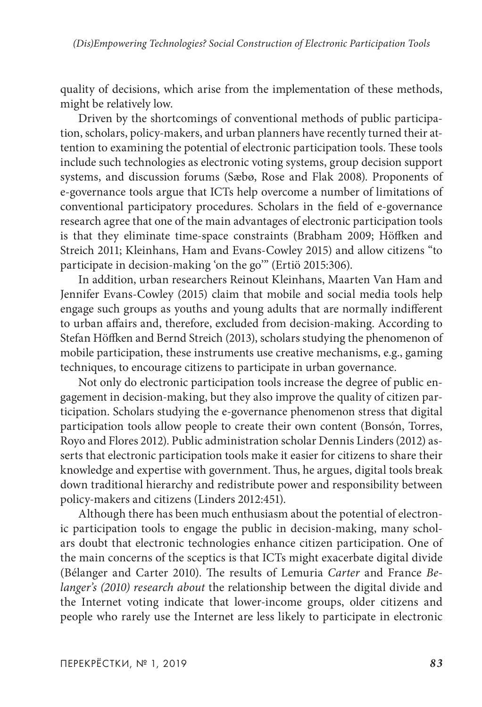quality of decisions, which arise from the implementation of these methods, might be relatively low.

Driven by the shortcomings of conventional methods of public participation, scholars, policy-makers, and urban planners have recently turned their attention to examining the potential of electronic participation tools. These tools include such technologies as electronic voting systems, group decision support systems, and discussion forums (Sæbø, Rose and Flak 2008). Proponents of e-governance tools argue that ICTs help overcome a number of limitations of conventional participatory procedures. Scholars in the field of e-governance research agree that one of the main advantages of electronic participation tools is that they eliminate time-space constraints (Brabham 2009; Höffken and Streich 2011; Kleinhans, Ham and Evans-Cowley 2015) and allow citizens "to participate in decision-making 'on the go'" (Ertiö 2015:306).

In addition, urban researchers Reinout Kleinhans, Maarten Van Ham and Jennifer Evans-Cowley (2015) claim that mobile and social media tools help engage such groups as youths and young adults that are normally indifferent to urban affairs and, therefore, excluded from decision-making. According to Stefan Höffken and Bernd Streich (2013), scholars studying the phenomenon of mobile participation, these instruments use creative mechanisms, e.g., gaming techniques, to encourage citizens to participate in urban governance.

Not only do electronic participation tools increase the degree of public engagement in decision-making, but they also improve the quality of citizen participation. Scholars studying the e-governance phenomenon stress that digital participation tools allow people to create their own content (Bonsón, Torres, Royo and Flores 2012). Public administration scholar Dennis Linders (2012) asserts that electronic participation tools make it easier for citizens to share their knowledge and expertise with government. Thus, he argues, digital tools break down traditional hierarchy and redistribute power and responsibility between policy-makers and citizens (Linders 2012:451).

Although there has been much enthusiasm about the potential of electronic participation tools to engage the public in decision-making, many scholars doubt that electronic technologies enhance citizen participation. One of the main concerns of the sceptics is that ICTs might exacerbate digital divide (Bélanger and Carter 2010). The results of Lemuria *Carter* and France *Belanger's (2010) research about* the relationship between the digital divide and the Internet voting indicate that lower-income groups, older citizens and people who rarely use the Internet are less likely to participate in electronic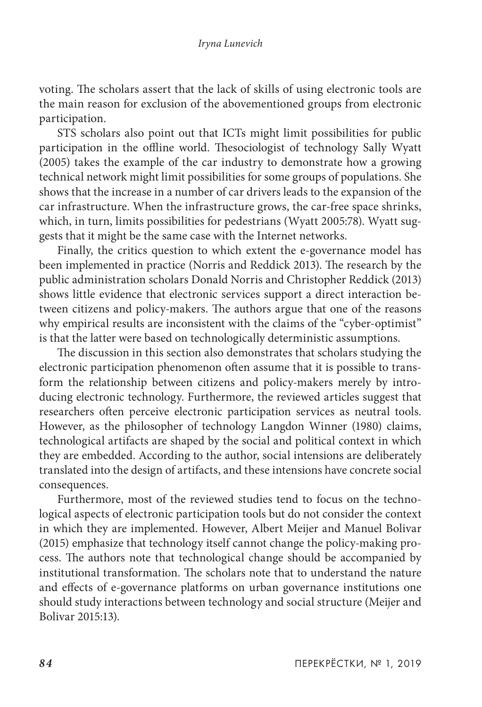voting. The scholars assert that the lack of skills of using electronic tools are the main reason for exclusion of the abovementioned groups from electronic participation.

STS scholars also point out that ICTs might limit possibilities for public participation in the offline world. Thesociologist of technology Sally Wyatt (2005) takes the example of the car industry to demonstrate how a growing technical network might limit possibilities for some groups of populations. She shows that the increase in a number of car drivers leads to the expansion of the car infrastructure. When the infrastructure grows, the car-free space shrinks, which, in turn, limits possibilities for pedestrians (Wyatt 2005:78). Wyatt suggests that it might be the same case with the Internet networks.

Finally, the critics question to which extent the e-governance model has been implemented in practice (Norris and Reddick 2013). The research by the public administration scholars Donald Norris and Christopher Reddick (2013) shows little evidence that electronic services support a direct interaction between citizens and policy-makers. The authors argue that one of the reasons why empirical results are inconsistent with the claims of the "cyber-optimist" is that the latter were based on technologically deterministic assumptions.

The discussion in this section also demonstrates that scholars studying the electronic participation phenomenon often assume that it is possible to transform the relationship between citizens and policy-makers merely by introducing electronic technology. Furthermore, the reviewed articles suggest that researchers often perceive electronic participation services as neutral tools. However, as the philosopher of technology Langdon Winner (1980) claims, technological artifacts are shaped by the social and political context in which they are embedded. According to the author, social intensions are deliberately translated into the design of artifacts, and these intensions have concrete social consequences.

Furthermore, most of the reviewed studies tend to focus on the technological aspects of electronic participation tools but do not consider the context in which they are implemented. However, Albert Meijer and Manuel Bolivar (2015) emphasize that technology itself cannot change the policy-making process. The authors note that technological change should be accompanied by institutional transformation. The scholars note that to understand the nature and effects of e-governance platforms on urban governance institutions one should study interactions between technology and social structure (Meijer and Bolivar 2015:13).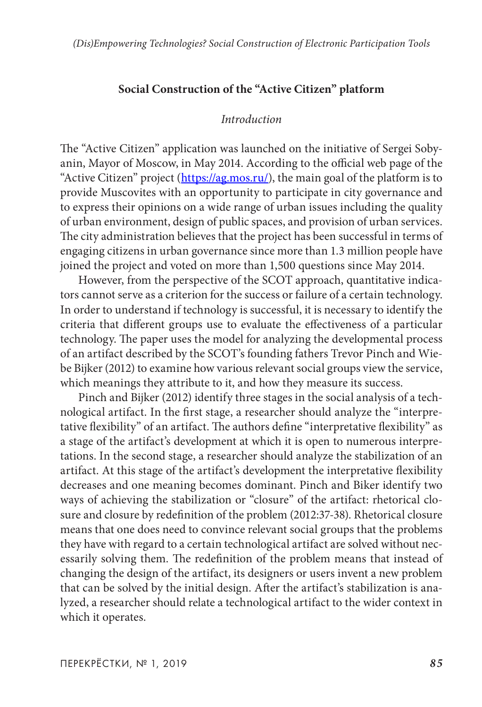### **Social Construction of the "Active Citizen" platform**

#### *Introduction*

The "Active Citizen" application was launched on the initiative of Sergei Sobyanin, Mayor of Moscow, in May 2014. According to the official web page of the "Active Citizen" project ([https://ag.mos.ru/\)](https://ag.mos.ru/), the main goal of the platform is to provide Muscovites with an opportunity to participate in city governance and to express their opinions on a wide range of urban issues including the quality of urban environment, design of public spaces, and provision of urban services. The city administration believes that the project has been successful in terms of engaging citizens in urban governance since more than 1.3 million people have joined the project and voted on more than 1,500 questions since May 2014.

However, from the perspective of the SCOT approach, quantitative indicators cannot serve as a criterion for the success or failure of a certain technology. In order to understand if technology is successful, it is necessary to identify the criteria that different groups use to evaluate the effectiveness of a particular technology. The paper uses the model for analyzing the developmental process of an artifact described by the SCOT's founding fathers Trevor Pinch and Wiebe Bijker (2012) to examine how various relevant social groups view the service, which meanings they attribute to it, and how they measure its success.

Pinch and Bijker (2012) identify three stages in the social analysis of a technological artifact. In the first stage, a researcher should analyze the "interpretative flexibility" of an artifact. The authors define "interpretative flexibility" as a stage of the artifact's development at which it is open to numerous interpretations. In the second stage, a researcher should analyze the stabilization of an artifact. At this stage of the artifact's development the interpretative flexibility decreases and one meaning becomes dominant. Pinch and Biker identify two ways of achieving the stabilization or "closure" of the artifact: rhetorical closure and closure by redefinition of the problem (2012:37-38). Rhetorical closure means that one does need to convince relevant social groups that the problems they have with regard to a certain technological artifact are solved without necessarily solving them. The redefinition of the problem means that instead of changing the design of the artifact, its designers or users invent a new problem that can be solved by the initial design. After the artifact's stabilization is analyzed, a researcher should relate a technological artifact to the wider context in which it operates.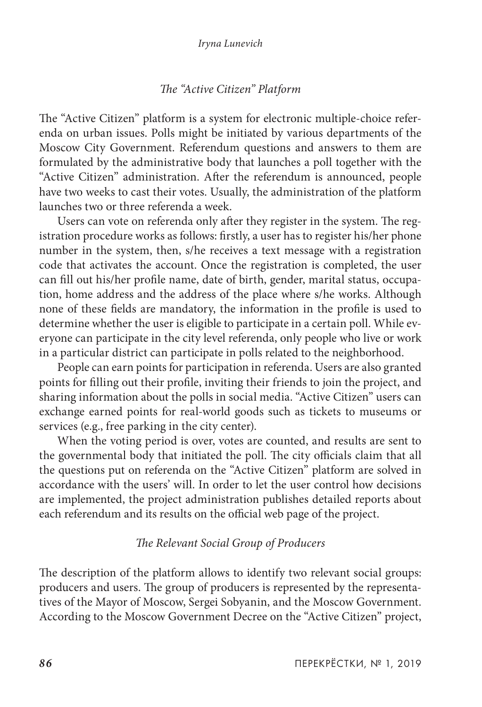### *The "Active Citizen" Platform*

The "Active Citizen" platform is a system for electronic multiple-choice referenda on urban issues. Polls might be initiated by various departments of the Moscow City Government. Referendum questions and answers to them are formulated by the administrative body that launches a poll together with the "Active Citizen" administration. After the referendum is announced, people have two weeks to cast their votes. Usually, the administration of the platform launches two or three referenda a week.

Users can vote on referenda only after they register in the system. The registration procedure works as follows: firstly, a user has to register his/her phone number in the system, then, s/he receives a text message with a registration code that activates the account. Once the registration is completed, the user can fill out his/her profile name, date of birth, gender, marital status, occupation, home address and the address of the place where s/he works. Although none of these fields are mandatory, the information in the profile is used to determine whether the user is eligible to participate in a certain poll. While everyone can participate in the city level referenda, only people who live or work in a particular district can participate in polls related to the neighborhood.

People can earn points for participation in referenda. Users are also granted points for filling out their profile, inviting their friends to join the project, and sharing information about the polls in social media. "Active Citizen" users can exchange earned points for real-world goods such as tickets to museums or services (e.g., free parking in the city center).

When the voting period is over, votes are counted, and results are sent to the governmental body that initiated the poll. The city officials claim that all the questions put on referenda on the "Active Citizen" platform are solved in accordance with the users' will. In order to let the user control how decisions are implemented, the project administration publishes detailed reports about each referendum and its results on the official web page of the project.

#### *The Relevant Social Group of Producers*

The description of the platform allows to identify two relevant social groups: producers and users. The group of producers is represented by the representatives of the Mayor of Moscow, Sergei Sobyanin, and the Moscow Government. According to the Moscow Government Decree on the "Active Citizen" project,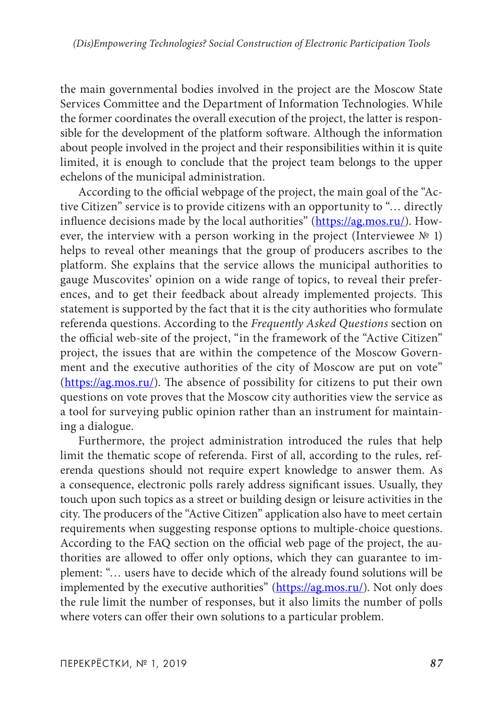the main governmental bodies involved in the project are the Moscow State Services Committee and the Department of Information Technologies. While the former coordinates the overall execution of the project, the latter is responsible for the development of the platform software. Although the information about people involved in the project and their responsibilities within it is quite limited, it is enough to conclude that the project team belongs to the upper echelons of the municipal administration.

According to the official webpage of the project, the main goal of the "Active Citizen" service is to provide citizens with an opportunity to "… directly influence decisions made by the local authorities" (<https://ag.mos.ru/>). However, the interview with a person working in the project (Interviewee  $N<sup>°</sup>$  1) helps to reveal other meanings that the group of producers ascribes to the platform. She explains that the service allows the municipal authorities to gauge Muscovites' opinion on a wide range of topics, to reveal their preferences, and to get their feedback about already implemented projects. This statement is supported by the fact that it is the city authorities who formulate referenda questions. According to the *Frequently Asked Questions* section on the official web-site of the project, "in the framework of the "Active Citizen" project, the issues that are within the competence of the Moscow Government and the executive authorities of the city of Moscow are put on vote" ([https://ag.mos.ru/\)](https://ag.mos.ru/). The absence of possibility for citizens to put their own questions on vote proves that the Moscow city authorities view the service as a tool for surveying public opinion rather than an instrument for maintaining a dialogue.

Furthermore, the project administration introduced the rules that help limit the thematic scope of referenda. First of all, according to the rules, referenda questions should not require expert knowledge to answer them. As a consequence, electronic polls rarely address significant issues. Usually, they touch upon such topics as a street or building design or leisure activities in the city. The producers of the "Active Citizen" application also have to meet certain requirements when suggesting response options to multiple-choice questions. According to the FAQ section on the official web page of the project, the authorities are allowed to offer only options, which they can guarantee to implement: "… users have to decide which of the already found solutions will be implemented by the executive authorities" ([https://ag.mos.ru/\)](https://ag.mos.ru/). Not only does the rule limit the number of responses, but it also limits the number of polls where voters can offer their own solutions to a particular problem.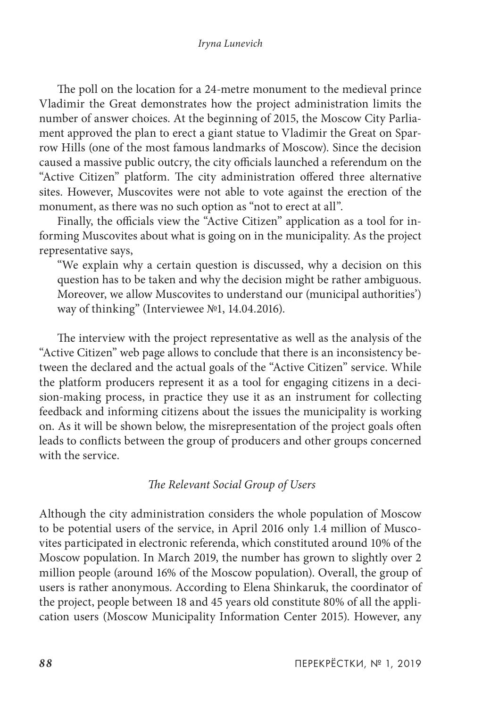The poll on the location for a 24-metre monument to the medieval prince Vladimir the Great demonstrates how the project administration limits the number of answer choices. At the beginning of 2015, the Moscow City Parliament approved the plan to erect a giant statue to Vladimir the Great on Sparrow Hills (one of the most famous landmarks of Moscow). Since the decision caused a massive public outcry, the city officials launched a referendum on the "Active Citizen" platform. The city administration offered three alternative sites. However, Muscovites were not able to vote against the erection of the monument, as there was no such option as "not to erect at all".

Finally, the officials view the "Active Citizen" application as a tool for informing Muscovites about what is going on in the municipality. As the project representative says,

"We explain why a certain question is discussed, why a decision on this question has to be taken and why the decision might be rather ambiguous. Moreover, we allow Muscovites to understand our (municipal authorities') way of thinking" (Interviewee №1, 14.04.2016).

The interview with the project representative as well as the analysis of the "Active Citizen" web page allows to conclude that there is an inconsistency between the declared and the actual goals of the "Active Citizen" service. While the platform producers represent it as a tool for engaging citizens in a decision-making process, in practice they use it as an instrument for collecting feedback and informing citizens about the issues the municipality is working on. As it will be shown below, the misrepresentation of the project goals often leads to conflicts between the group of producers and other groups concerned with the service.

### *The Relevant Social Group of Users*

Although the city administration considers the whole population of Moscow to be potential users of the service, in April 2016 only 1.4 million of Muscovites participated in electronic referenda, which constituted around 10% of the Moscow population. In March 2019, the number has grown to slightly over 2 million people (around 16% of the Moscow population). Overall, the group of users is rather anonymous. According to Elena Shinkaruk, the coordinator of the project, people between 18 and 45 years old constitute 80% of all the application users (Moscow Municipality Information Center 2015). However, any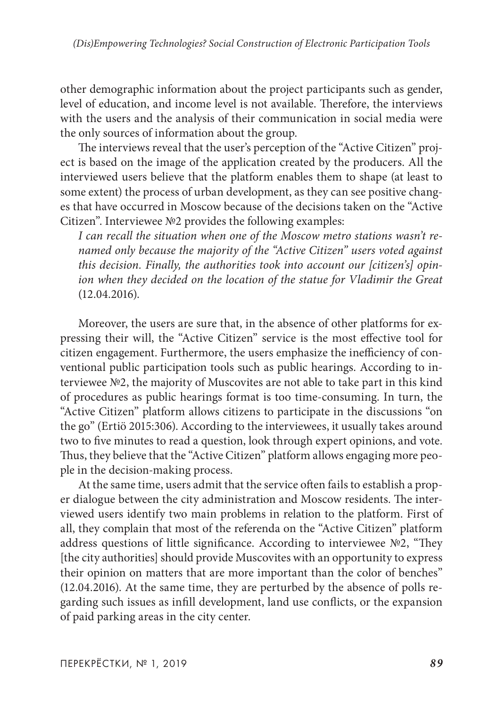other demographic information about the project participants such as gender, level of education, and income level is not available. Therefore, the interviews with the users and the analysis of their communication in social media were the only sources of information about the group.

The interviews reveal that the user's perception of the "Active Citizen" project is based on the image of the application created by the producers. All the interviewed users believe that the platform enables them to shape (at least to some extent) the process of urban development, as they can see positive changes that have occurred in Moscow because of the decisions taken on the "Active Citizen". Interviewee №2 provides the following examples:

*I can recall the situation when one of the Moscow metro stations wasn't renamed only because the majority of the "Active Citizen" users voted against this decision. Finally, the authorities took into account our [citizen's] opinion when they decided on the location of the statue for Vladimir the Great* (12.04.2016).

Moreover, the users are sure that, in the absence of other platforms for expressing their will, the "Active Citizen" service is the most effective tool for citizen engagement. Furthermore, the users emphasize the inefficiency of conventional public participation tools such as public hearings. According to interviewee №2, the majority of Muscovites are not able to take part in this kind of procedures as public hearings format is too time-consuming. In turn, the "Active Citizen" platform allows citizens to participate in the discussions "on the go" (Ertiö 2015:306). According to the interviewees, it usually takes around two to five minutes to read a question, look through expert opinions, and vote. Thus, they believe that the "Active Citizen" platform allows engaging more people in the decision-making process.

At the same time, users admit that the service often fails to establish a proper dialogue between the city administration and Moscow residents. The interviewed users identify two main problems in relation to the platform. First of all, they complain that most of the referenda on the "Active Citizen" platform address questions of little significance. According to interviewee №2, "They [the city authorities] should provide Muscovites with an opportunity to express their opinion on matters that are more important than the color of benches" (12.04.2016). At the same time, they are perturbed by the absence of polls regarding such issues as infill development, land use conflicts, or the expansion of paid parking areas in the city center.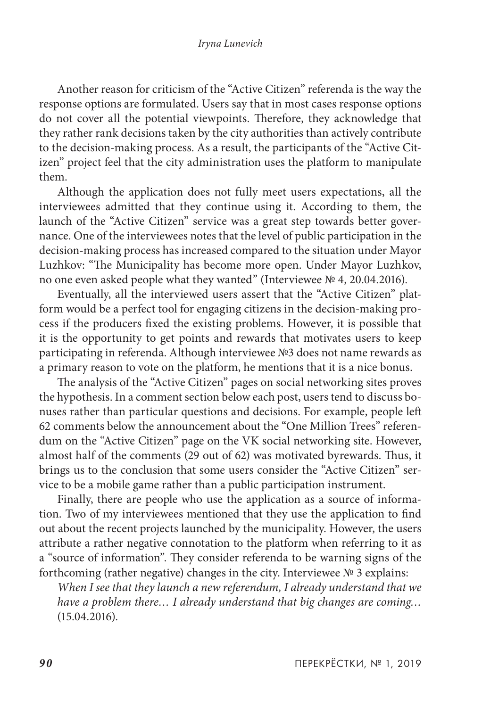Another reason for criticism of the "Active Citizen" referenda is the way the response options are formulated. Users say that in most cases response options do not cover all the potential viewpoints. Therefore, they acknowledge that they rather rank decisions taken by the city authorities than actively contribute to the decision-making process. As a result, the participants of the "Active Citizen" project feel that the city administration uses the platform to manipulate them.

Although the application does not fully meet users expectations, all the interviewees admitted that they continue using it. According to them, the launch of the "Active Citizen" service was a great step towards better governance. One of the interviewees notes that the level of public participation in the decision-making process has increased compared to the situation under Mayor Luzhkov: "The Municipality has become more open. Under Mayor Luzhkov, no one even asked people what they wanted" (Interviewee № 4, 20.04.2016).

Eventually, all the interviewed users assert that the "Active Citizen" platform would be a perfect tool for engaging citizens in the decision-making process if the producers fixed the existing problems. However, it is possible that it is the opportunity to get points and rewards that motivates users to keep participating in referenda. Although interviewee №3 does not name rewards as a primary reason to vote on the platform, he mentions that it is a nice bonus.

The analysis of the "Active Citizen" pages on social networking sites proves the hypothesis. In a comment section below each post, users tend to discuss bonuses rather than particular questions and decisions. For example, people left 62 comments below the announcement about the "One Million Trees" referendum on the "Active Citizen" page on the VK social networking site. However, almost half of the comments (29 out of 62) was motivated byrewards. Thus, it brings us to the conclusion that some users consider the "Active Citizen" service to be a mobile game rather than a public participation instrument.

Finally, there are people who use the application as a source of information. Two of my interviewees mentioned that they use the application to find out about the recent projects launched by the municipality. However, the users attribute a rather negative connotation to the platform when referring to it as a "source of information". They consider referenda to be warning signs of the forthcoming (rather negative) changes in the city. Interviewee № 3 explains:

*When I see that they launch a new referendum, I already understand that we have a problem there… I already understand that big changes are coming…* (15.04.2016).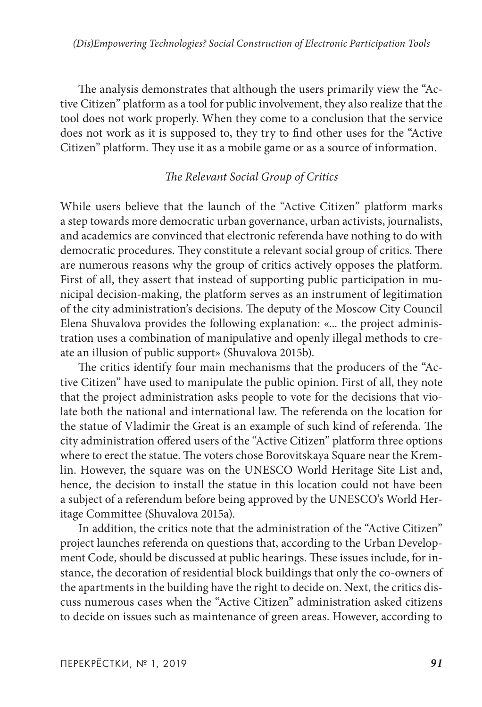The analysis demonstrates that although the users primarily view the "Active Citizen" platform as a tool for public involvement, they also realize that the tool does not work properly. When they come to a conclusion that the service does not work as it is supposed to, they try to find other uses for the "Active Citizen" platform. They use it as a mobile game or as a source of information.

## *The Relevant Social Group of Critics*

While users believe that the launch of the "Active Citizen" platform marks a step towards more democratic urban governance, urban activists, journalists, and academics are convinced that electronic referenda have nothing to do with democratic procedures. They constitute a relevant social group of critics. There are numerous reasons why the group of critics actively opposes the platform. First of all, they assert that instead of supporting public participation in municipal decision-making, the platform serves as an instrument of legitimation of the city administration's decisions. The deputy of the Moscow City Council Elena Shuvalova provides the following explanation: «... the project administration uses a combination of manipulative and openly illegal methods to create an illusion of public support» (Shuvalova 2015b).

The critics identify four main mechanisms that the producers of the "Active Citizen" have used to manipulate the public opinion. First of all, they note that the project administration asks people to vote for the decisions that violate both the national and international law. The referenda on the location for the statue of Vladimir the Great is an example of such kind of referenda. The city administration offered users of the "Active Citizen" platform three options where to erect the statue. The voters chose Borovitskaya Square near the Kremlin. However, the square was on the UNESCO World Heritage Site List and, hence, the decision to install the statue in this location could not have been a subject of a referendum before being approved by the UNESCO's World Heritage Committee (Shuvalova 2015a).

In addition, the critics note that the administration of the "Active Citizen" project launches referenda on questions that, according to the Urban Development Code, should be discussed at public hearings. These issues include, for instance, the decoration of residential block buildings that only the co-owners of the apartments in the building have the right to decide on. Next, the critics discuss numerous cases when the "Active Citizen" administration asked citizens to decide on issues such as maintenance of green areas. However, according to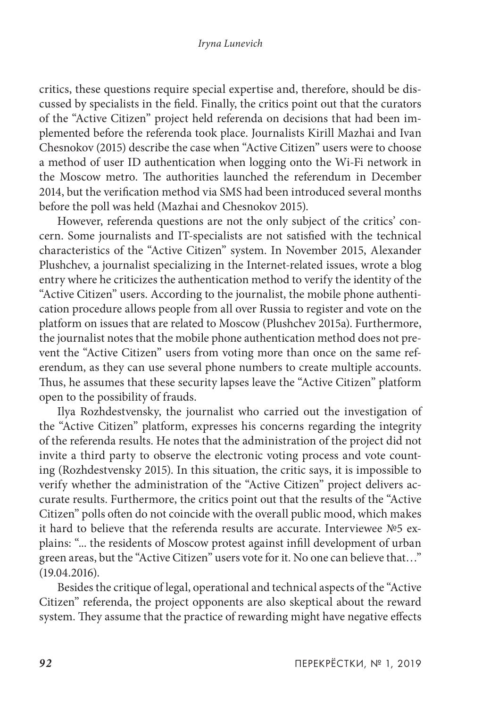critics, these questions require special expertise and, therefore, should be discussed by specialists in the field. Finally, the critics point out that the curators of the "Active Citizen" project held referenda on decisions that had been implemented before the referenda took place. Journalists Kirill Mazhai and Ivan Chesnokov (2015) describe the case when "Active Citizen" users were to choose a method of user ID authentication when logging onto the Wi-Fi network in the Moscow metro. The authorities launched the referendum in December 2014, but the verification method via SMS had been introduced several months before the poll was held (Mazhai and Chesnokov 2015).

However, referenda questions are not the only subject of the critics' concern. Some journalists and IT-specialists are not satisfied with the technical characteristics of the "Active Citizen" system. In November 2015, Alexander Plushchev, a journalist specializing in the Internet-related issues, wrote a blog entry where he criticizes the authentication method to verify the identity of the "Active Citizen" users. According to the journalist, the mobile phone authentication procedure allows people from all over Russia to register and vote on the platform on issues that are related to Moscow (Plushchev 2015a). Furthermore, the journalist notes that the mobile phone authentication method does not prevent the "Active Citizen" users from voting more than once on the same referendum, as they can use several phone numbers to create multiple accounts. Thus, he assumes that these security lapses leave the "Active Citizen" platform open to the possibility of frauds.

Ilya Rozhdestvensky, the journalist who carried out the investigation of the "Active Citizen" platform, expresses his concerns regarding the integrity of the referenda results. He notes that the administration of the project did not invite a third party to observe the electronic voting process and vote counting (Rozhdestvensky 2015). In this situation, the critic says, it is impossible to verify whether the administration of the "Active Citizen" project delivers accurate results. Furthermore, the critics point out that the results of the "Active Citizen" polls often do not coincide with the overall public mood, which makes it hard to believe that the referenda results are accurate. Interviewee №5 explains: "... the residents of Moscow protest against infill development of urban green areas, but the "Active Citizen" users vote for it. No one can believe that…" (19.04.2016).

Besides the critique of legal, operational and technical aspects of the "Active Citizen" referenda, the project opponents are also skeptical about the reward system. They assume that the practice of rewarding might have negative effects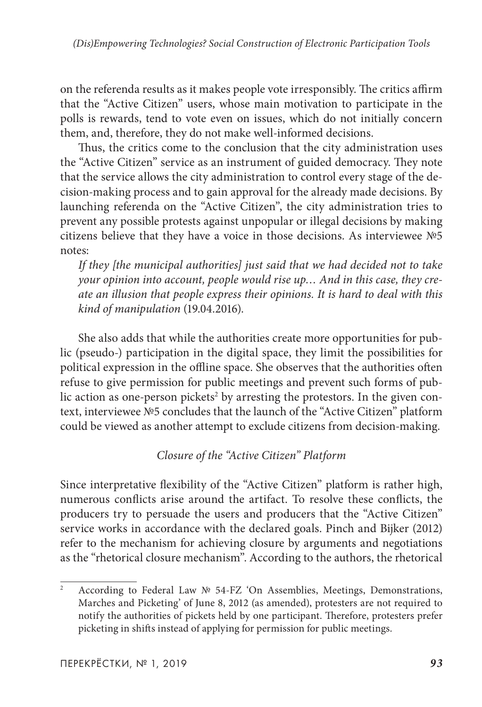on the referenda results as it makes people vote irresponsibly. The critics affirm that the "Active Citizen" users, whose main motivation to participate in the polls is rewards, tend to vote even on issues, which do not initially concern them, and, therefore, they do not make well-informed decisions.

Thus, the critics come to the conclusion that the city administration uses the "Active Citizen" service as an instrument of guided democracy. They note that the service allows the city administration to control every stage of the decision-making process and to gain approval for the already made decisions. By launching referenda on the "Active Citizen", the city administration tries to prevent any possible protests against unpopular or illegal decisions by making citizens believe that they have a voice in those decisions. As interviewee №5 notes:

*If they [the municipal authorities] just said that we had decided not to take your opinion into account, people would rise up… And in this case, they create an illusion that people express their opinions. It is hard to deal with this kind of manipulation* (19.04.2016).

She also adds that while the authorities create more opportunities for public (pseudo-) participation in the digital space, they limit the possibilities for political expression in the offline space. She observes that the authorities often refuse to give permission for public meetings and prevent such forms of public action as one-person pickets $^2$  by arresting the protestors. In the given context, interviewee №5 concludes that the launch of the "Active Citizen" platform could be viewed as another attempt to exclude citizens from decision-making.

# *Closure of the "Active Citizen" Platform*

Since interpretative flexibility of the "Active Citizen" platform is rather high, numerous conflicts arise around the artifact. To resolve these conflicts, the producers try to persuade the users and producers that the "Active Citizen" service works in accordance with the declared goals. Pinch and Bijker (2012) refer to the mechanism for achieving closure by arguments and negotiations as the "rhetorical closure mechanism". According to the authors, the rhetorical

<sup>2</sup> According to Federal Law № 54-FZ 'On Assemblies, Meetings, Demonstrations, Marches and Picketing' of June 8, 2012 (as amended), protesters are not required to notify the authorities of pickets held by one participant. Therefore, protesters prefer picketing in shifts instead of applying for permission for public meetings.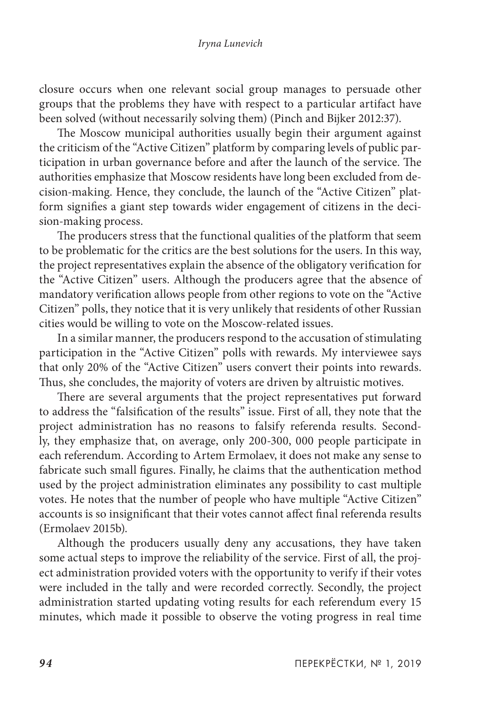closure occurs when one relevant social group manages to persuade other groups that the problems they have with respect to a particular artifact have been solved (without necessarily solving them) (Pinch and Bijker 2012:37).

The Moscow municipal authorities usually begin their argument against the criticism of the "Active Citizen" platform by comparing levels of public participation in urban governance before and after the launch of the service. The authorities emphasize that Moscow residents have long been excluded from decision-making. Hence, they conclude, the launch of the "Active Citizen" platform signifies a giant step towards wider engagement of citizens in the decision-making process.

The producers stress that the functional qualities of the platform that seem to be problematic for the critics are the best solutions for the users. In this way, the project representatives explain the absence of the obligatory verification for the "Active Citizen" users. Although the producers agree that the absence of mandatory verification allows people from other regions to vote on the "Active Citizen" polls, they notice that it is very unlikely that residents of other Russian cities would be willing to vote on the Moscow-related issues.

In a similar manner, the producers respond to the accusation of stimulating participation in the "Active Citizen" polls with rewards. My interviewee says that only 20% of the "Active Citizen" users convert their points into rewards. Thus, she concludes, the majority of voters are driven by altruistic motives.

There are several arguments that the project representatives put forward to address the "falsification of the results" issue. First of all, they note that the project administration has no reasons to falsify referenda results. Secondly, they emphasize that, on average, only 200-300, 000 people participate in each referendum. According to Artem Ermolaev, it does not make any sense to fabricate such small figures. Finally, he claims that the authentication method used by the project administration eliminates any possibility to cast multiple votes. He notes that the number of people who have multiple "Active Citizen" accounts is so insignificant that their votes cannot affect final referenda results (Ermolaev 2015b).

Although the producers usually deny any accusations, they have taken some actual steps to improve the reliability of the service. First of all, the project administration provided voters with the opportunity to verify if their votes were included in the tally and were recorded correctly. Secondly, the project administration started updating voting results for each referendum every 15 minutes, which made it possible to observe the voting progress in real time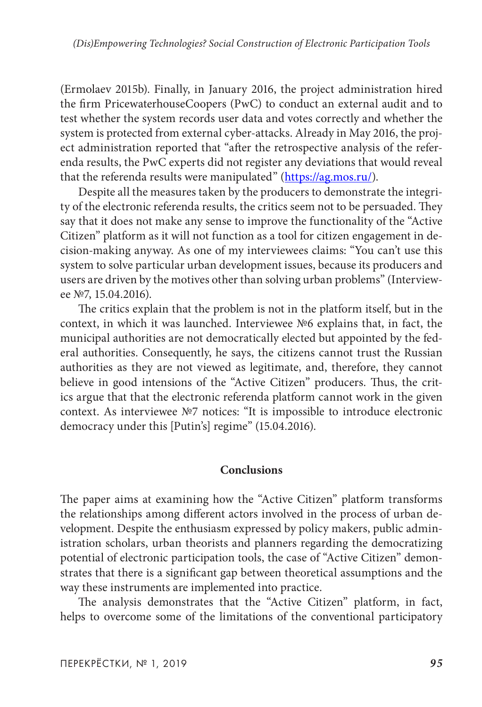(Ermolaev 2015b). Finally, in January 2016, the project administration hired the firm PricewaterhouseCoopers (PwC) to conduct an external audit and to test whether the system records user data and votes correctly and whether the system is protected from external cyber-attacks. Already in May 2016, the project administration reported that "after the retrospective analysis of the referenda results, the PwC experts did not register any deviations that would reveal that the referenda results were manipulated" [\(https://ag.mos.ru/](https://ag.mos.ru/)).

Despite all the measures taken by the producers to demonstrate the integrity of the electronic referenda results, the critics seem not to be persuaded. They say that it does not make any sense to improve the functionality of the "Active Citizen" platform as it will not function as a tool for citizen engagement in decision-making anyway. As one of my interviewees claims: "You can't use this system to solve particular urban development issues, because its producers and users are driven by the motives other than solving urban problems" (Interviewee №7, 15.04.2016).

The critics explain that the problem is not in the platform itself, but in the context, in which it was launched. Interviewee №6 explains that, in fact, the municipal authorities are not democratically elected but appointed by the federal authorities. Consequently, he says, the citizens cannot trust the Russian authorities as they are not viewed as legitimate, and, therefore, they cannot believe in good intensions of the "Active Citizen" producers. Thus, the critics argue that that the electronic referenda platform cannot work in the given context. As interviewee №7 notices: "It is impossible to introduce electronic democracy under this [Putin's] regime" (15.04.2016).

### **Conclusions**

The paper aims at examining how the "Active Citizen" platform transforms the relationships among different actors involved in the process of urban development. Despite the enthusiasm expressed by policy makers, public administration scholars, urban theorists and planners regarding the democratizing potential of electronic participation tools, the case of "Active Citizen" demonstrates that there is a significant gap between theoretical assumptions and the way these instruments are implemented into practice.

The analysis demonstrates that the "Active Citizen" platform, in fact, helps to overcome some of the limitations of the conventional participatory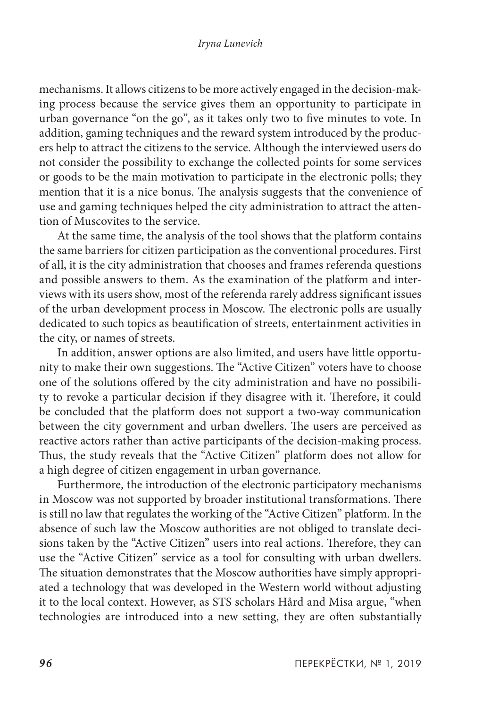mechanisms. It allows citizens to be more actively engaged in the decision-making process because the service gives them an opportunity to participate in urban governance "on the go", as it takes only two to five minutes to vote. In addition, gaming techniques and the reward system introduced by the producers help to attract the citizens to the service. Although the interviewed users do not consider the possibility to exchange the collected points for some services or goods to be the main motivation to participate in the electronic polls; they mention that it is a nice bonus. The analysis suggests that the convenience of use and gaming techniques helped the city administration to attract the attention of Muscovites to the service.

At the same time, the analysis of the tool shows that the platform contains the same barriers for citizen participation as the conventional procedures. First of all, it is the city administration that chooses and frames referenda questions and possible answers to them. As the examination of the platform and interviews with its users show, most of the referenda rarely address significant issues of the urban development process in Moscow. The electronic polls are usually dedicated to such topics as beautification of streets, entertainment activities in the city, or names of streets.

In addition, answer options are also limited, and users have little opportunity to make their own suggestions. The "Active Citizen" voters have to choose one of the solutions offered by the city administration and have no possibility to revoke a particular decision if they disagree with it. Therefore, it could be concluded that the platform does not support a two-way communication between the city government and urban dwellers. The users are perceived as reactive actors rather than active participants of the decision-making process. Thus, the study reveals that the "Active Citizen" platform does not allow for a high degree of citizen engagement in urban governance.

Furthermore, the introduction of the electronic participatory mechanisms in Moscow was not supported by broader institutional transformations. There is still no law that regulates the working of the "Active Citizen" platform. In the absence of such law the Moscow authorities are not obliged to translate decisions taken by the "Active Citizen" users into real actions. Therefore, they can use the "Active Citizen" service as a tool for consulting with urban dwellers. The situation demonstrates that the Moscow authorities have simply appropriated a technology that was developed in the Western world without adjusting it to the local context. However, as STS scholars Hård and Misa argue, "when technologies are introduced into a new setting, they are often substantially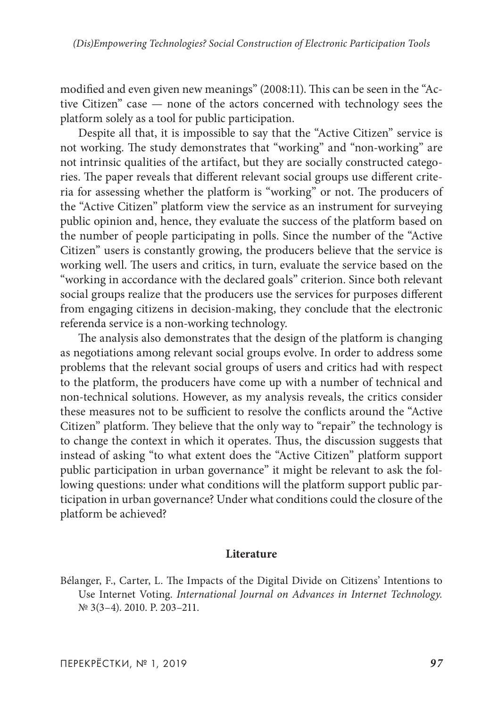modified and even given new meanings" (2008:11). This can be seen in the "Active Citizen" case — none of the actors concerned with technology sees the platform solely as a tool for public participation.

Despite all that, it is impossible to say that the "Active Citizen" service is not working. The study demonstrates that "working" and "non-working" are not intrinsic qualities of the artifact, but they are socially constructed categories. The paper reveals that different relevant social groups use different criteria for assessing whether the platform is "working" or not. The producers of the "Active Citizen" platform view the service as an instrument for surveying public opinion and, hence, they evaluate the success of the platform based on the number of people participating in polls. Since the number of the "Active Citizen" users is constantly growing, the producers believe that the service is working well. The users and critics, in turn, evaluate the service based on the "working in accordance with the declared goals" criterion. Since both relevant social groups realize that the producers use the services for purposes different from engaging citizens in decision-making, they conclude that the electronic referenda service is a non-working technology.

The analysis also demonstrates that the design of the platform is changing as negotiations among relevant social groups evolve. In order to address some problems that the relevant social groups of users and critics had with respect to the platform, the producers have come up with a number of technical and non-technical solutions. However, as my analysis reveals, the critics consider these measures not to be sufficient to resolve the conflicts around the "Active Citizen" platform. They believe that the only way to "repair" the technology is to change the context in which it operates. Thus, the discussion suggests that instead of asking "to what extent does the "Active Citizen" platform support public participation in urban governance" it might be relevant to ask the following questions: under what conditions will the platform support public participation in urban governance? Under what conditions could the closure of the platform be achieved?

### **Literature**

Bélanger, F., Carter, L. The Impacts of the Digital Divide on Citizens' Intentions to Use Internet Voting. *International Journal on Advances in Internet Technology.*  № 3(3–4). 2010. P. 203–211.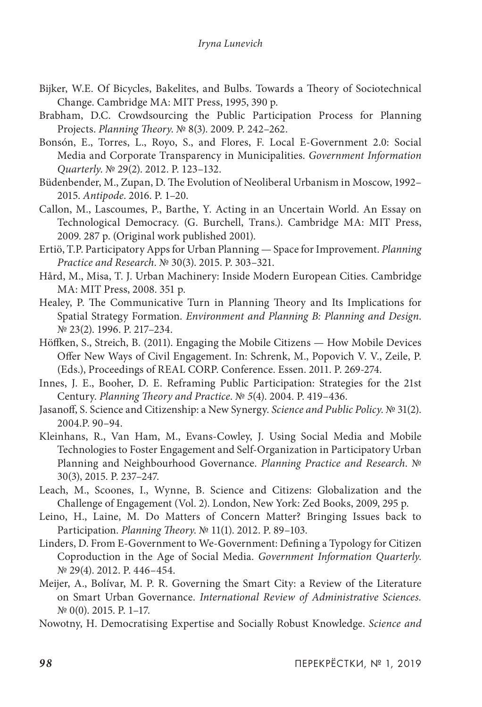- Bijker, W.E. Of Bicycles, Bakelites, and Bulbs. Towards a Theory of Sociotechnical Change. Cambridge MA: MIT Press, 1995, 390 p.
- Brabham, D.C. Crowdsourcing the Public Participation Process for Planning Projects. *Planning Theory*. № 8(3). 2009. P. 242–262.
- Bonsón, E., Torres, L., Royo, S., and Flores, F. Local E-Government 2.0: Social Media and Corporate Transparency in Municipalities. *Government Information Quarterly*. № 29(2). 2012. P. 123–132.
- Büdenbender, M., Zupan, D. The Evolution of Neoliberal Urbanism in Moscow, 1992– 2015. *Antipode*. 2016. P. 1–20.
- Callon, M., Lascoumes, P., Barthe, Y. Acting in an Uncertain World. An Essay on Technological Democracy. (G. Burchell, Trans.). Cambridge MA: MIT Press, 2009. 287 p. (Original work published 2001).
- Ertiö, T.P. Participatory Apps for Urban Planning Space for Improvement. *Planning Practice and Research*. № 30(3). 2015. P. 303–321.
- Hård, M., Misa, T. J. Urban Machinery: Inside Modern European Cities. Cambridge MA: MIT Press, 2008. 351 p.
- Healey, P. The Communicative Turn in Planning Theory and Its Implications for Spatial Strategy Formation. *Environment and Planning B: Planning and Design*. № 23(2). 1996. P. 217–234.
- Höffken, S., Streich, B. (2011). Engaging the Mobile Citizens How Mobile Devices Offer New Ways of Civil Engagement. In: Schrenk, M., Popovich V. V., Zeile, P. (Eds.), Proceedings of REAL CORP. Conference. Essen. 2011. P. 269-274.
- Innes, J. E., Booher, D. E. Reframing Public Participation: Strategies for the 21st Century. *Planning Theory and Practice*. № *5*(4). 2004. P. 419–436.
- Jasanoff, S. Science and Citizenship: a New Synergy. *Science and Public Policy*. № 31(2). 2004.P. 90–94.
- Kleinhans, R., Van Ham, M., Evans-Cowley, J. Using Social Media and Mobile Technologies to Foster Engagement and Self-Organization in Participatory Urban Planning and Neighbourhood Governance. *Planning Practice and Research*. № 30(3), 2015. P. 237–247.
- Leach, M., Scoones, I., Wynne, B. Science and Citizens: Globalization and the Challenge of Engagement (Vol. 2). London, New York: Zed Books, 2009, 295 p.
- Leino, H., Laine, M. Do Matters of Concern Matter? Bringing Issues back to Participation. *Planning Theory*. № 11(1). 2012. P. 89–103.
- Linders, D. From E-Government to We-Government: Defining a Typology for Citizen Coproduction in the Age of Social Media. *Government Information Quarterly*. № 29(4). 2012. P. 446–454.
- Meijer, A., Bolívar, M. P. R. Governing the Smart City: a Review of the Literature on Smart Urban Governance. *International Review of Administrative Sciences.*  № 0(0). 2015. P. 1–17.
- Nowotny, H. Democratising Expertise and Socially Robust Knowledge. *Science and*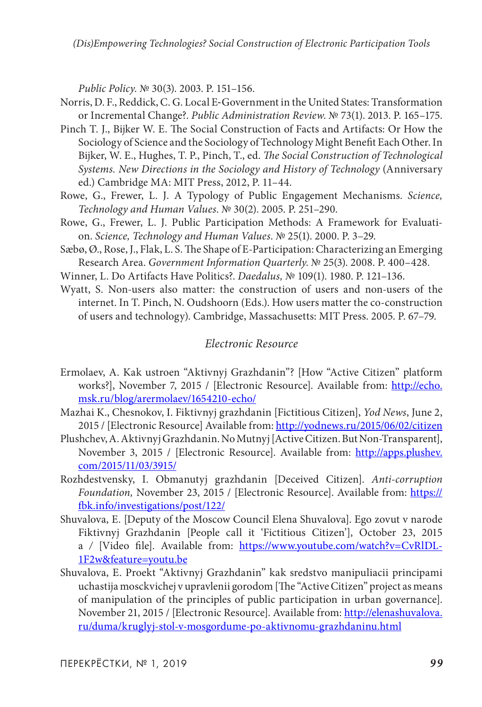*Public Policy*. № 30(3). 2003. P. 151–156.

- Norris, D. F., Reddick, C. G. Local E‐Government in the United States: Transformation or Incremental Change?. *Public Administration Review*. № 73(1). 2013. P. 165–175.
- Pinch T. J., Bijker W. E. The Social Construction of Facts and Artifacts: Or How the Sociology of Science and the Sociology of Technology Might Benefit Each Other. In Bijker, W. E., Hughes, T. P., Pinch, T., ed. *The Social Construction of Technological Systems. New Directions in the Sociology and History of Technology* (Anniversary ed.) Cambridge MA: MIT Press, 2012, P. 11–44.
- Rowe, G., Frewer, L. J. A Typology of Public Engagement Mechanisms. *Science, Technology and Human Values*. № 30(2). 2005. P. 251–290.
- Rowe, G., Frewer, L. J. Public Participation Methods: A Framework for Evaluation. *Science, Technology and Human Values*. № 25(1). 2000. P. 3–29.
- Sæbø, Ø., Rose, J., Flak, L. S. The Shape of E-Participation: Characterizing an Emerging Research Area. *Government Information Quarterly*. № 25(3). 2008. P. 400–428.
- Winner, L. Do Artifacts Have Politics?. *Daedalus,* № 109(1). 1980. P. 121–136.
- Wyatt, S. Non-users also matter: the construction of users and non-users of the internet. In T. Pinch, N. Oudshoorn (Eds.). How users matter the co-construction of users and technology). Cambridge, Massachusetts: MIT Press. 2005. P. 67–79.

### *Electronic Resource*

- Ermolaev, A. Kak ustroen "Aktivnyj Grazhdanin"? [How "Active Citizen" platform works?], November 7, 2015 / [Electronic Resource]. Available from: [http://echo.](http://echo.msk.ru/blog/arermolaev/1654210-echo/) [msk.ru/blog/arermolaev/1654210-echo/](http://echo.msk.ru/blog/arermolaev/1654210-echo/)
- Mazhai K., Chesnokov, I. Fiktivnyj grazhdanin [Fictitious Citizen], *Yod News*, June 2, 2015 / [Electronic Resource] Available from:<http://yodnews.ru/2015/06/02/citizen>
- Plushchev, A. Aktivnyj Grazhdanin. No Mutnyj [Active Citizen. But Non-Transparent], November 3, 2015 / [Electronic Resource]. Available from: [http://apps.plushev.](http://apps.plushev.com/2015/11/03/3915/) [com/2015/11/03/3915/](http://apps.plushev.com/2015/11/03/3915/)
- Rozhdestvensky, I. Obmanutyj grazhdanin [Deceived Citizen]. *Anti-corruption*  Foundation, November 23, 2015 / [Electronic Resource]. Available from: [https://](https://fbk.info/investigations/post/122/) [fbk.info/investigations/post/122/](https://fbk.info/investigations/post/122/)
- Shuvalova, E. [Deputy of the Moscow Council Elena Shuvalova]. Ego zovut v narode Fiktivnyj Grazhdanin [People call it 'Fictitious Citizen'], October 23, 2015 a */* [Video file]. Available from: [https://www.youtube.com/watch?v=CvRlDL-](https://www.youtube.com/watch?v=CvRlDL-1F2w&feature=youtu.be)[1F2w&feature=youtu.be](https://www.youtube.com/watch?v=CvRlDL-1F2w&feature=youtu.be)
- Shuvalova, E. Proekt "Aktivnyj Grazhdanin" kak sredstvo manipuliacii principami uchastija mosckvichej v upravlenii gorodom [The "Active Citizen" project as means of manipulation of the principles of public participation in urban governance]. November 21, 2015 / [Electronic Resource]. Available from: [http://elenashuvalova.](http://elenashuvalova.ru/duma/kruglyj-stol-v-mosgordume-po-aktivnomu-grazhdaninu.html) [ru/duma/kruglyj-stol-v-mosgordume-po-aktivnomu-grazhdaninu.html](http://elenashuvalova.ru/duma/kruglyj-stol-v-mosgordume-po-aktivnomu-grazhdaninu.html)